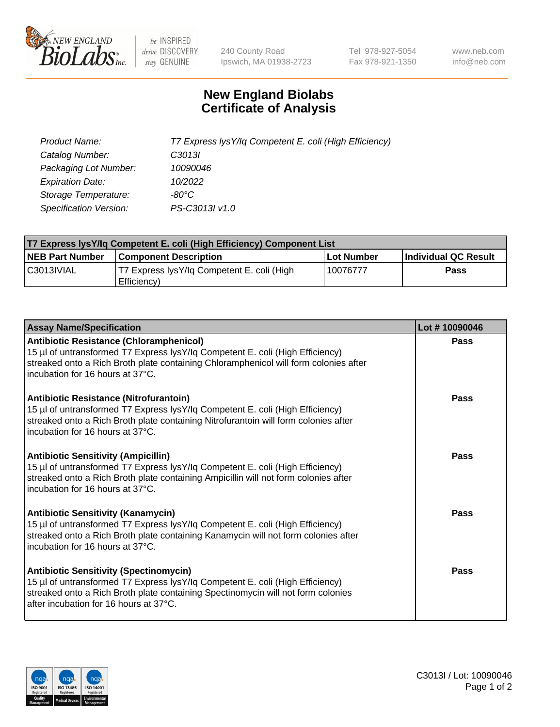

 $be$  INSPIRED drive DISCOVERY stay GENUINE

240 County Road Ipswich, MA 01938-2723 Tel 978-927-5054 Fax 978-921-1350 www.neb.com info@neb.com

## **New England Biolabs Certificate of Analysis**

| Product Name:                 | T7 Express lysY/lq Competent E. coli (High Efficiency) |
|-------------------------------|--------------------------------------------------------|
| Catalog Number:               | C3013I                                                 |
| Packaging Lot Number:         | 10090046                                               |
| <b>Expiration Date:</b>       | 10/2022                                                |
| Storage Temperature:          | -80°C                                                  |
| <b>Specification Version:</b> | PS-C3013I v1.0                                         |

| T7 Express lysY/lq Competent E. coli (High Efficiency) Component List |                                                           |            |                      |  |
|-----------------------------------------------------------------------|-----------------------------------------------------------|------------|----------------------|--|
| <b>NEB Part Number</b>                                                | <b>Component Description</b>                              | Lot Number | Individual QC Result |  |
| C3013IVIAL                                                            | T7 Express lysY/lg Competent E. coli (High<br>Efficiency) | 10076777   | <b>Pass</b>          |  |

| <b>Assay Name/Specification</b>                                                                                                                                                                                                                              | Lot #10090046 |
|--------------------------------------------------------------------------------------------------------------------------------------------------------------------------------------------------------------------------------------------------------------|---------------|
| <b>Antibiotic Resistance (Chloramphenicol)</b><br>15 µl of untransformed T7 Express lysY/lq Competent E. coli (High Efficiency)<br>streaked onto a Rich Broth plate containing Chloramphenicol will form colonies after<br>incubation for 16 hours at 37°C.  | <b>Pass</b>   |
| <b>Antibiotic Resistance (Nitrofurantoin)</b><br>15 µl of untransformed T7 Express lysY/lq Competent E. coli (High Efficiency)<br>streaked onto a Rich Broth plate containing Nitrofurantoin will form colonies after<br>incubation for 16 hours at 37°C.    | Pass          |
| <b>Antibiotic Sensitivity (Ampicillin)</b><br>15 µl of untransformed T7 Express lysY/lq Competent E. coli (High Efficiency)<br>streaked onto a Rich Broth plate containing Ampicillin will not form colonies after<br>incubation for 16 hours at 37°C.       | Pass          |
| <b>Antibiotic Sensitivity (Kanamycin)</b><br>15 µl of untransformed T7 Express lysY/lq Competent E. coli (High Efficiency)<br>streaked onto a Rich Broth plate containing Kanamycin will not form colonies after<br>incubation for 16 hours at 37°C.         | <b>Pass</b>   |
| <b>Antibiotic Sensitivity (Spectinomycin)</b><br>15 µl of untransformed T7 Express lysY/lq Competent E. coli (High Efficiency)<br>streaked onto a Rich Broth plate containing Spectinomycin will not form colonies<br>after incubation for 16 hours at 37°C. | Pass          |